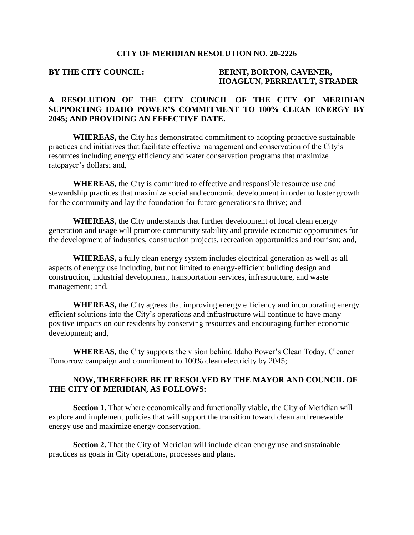#### **CITY OF MERIDIAN RESOLUTION NO. 20-2226**

#### **BY THE CITY COUNCIL: BERNT, BORTON, CAVENER, HOAGLUN, PERREAULT, STRADER**

## **A RESOLUTION OF THE CITY COUNCIL OF THE CITY OF MERIDIAN SUPPORTING IDAHO POWER'S COMMITMENT TO 100% CLEAN ENERGY BY 2045; AND PROVIDING AN EFFECTIVE DATE.**

**WHEREAS,** the City has demonstrated commitment to adopting proactive sustainable practices and initiatives that facilitate effective management and conservation of the City's resources including energy efficiency and water conservation programs that maximize ratepayer's dollars; and,

**WHEREAS,** the City is committed to effective and responsible resource use and stewardship practices that maximize social and economic development in order to foster growth for the community and lay the foundation for future generations to thrive; and

**WHEREAS,** the City understands that further development of local clean energy generation and usage will promote community stability and provide economic opportunities for the development of industries, construction projects, recreation opportunities and tourism; and,

**WHEREAS,** a fully clean energy system includes electrical generation as well as all aspects of energy use including, but not limited to energy-efficient building design and construction, industrial development, transportation services, infrastructure, and waste management; and,

**WHEREAS,** the City agrees that improving energy efficiency and incorporating energy efficient solutions into the City's operations and infrastructure will continue to have many positive impacts on our residents by conserving resources and encouraging further economic development; and,

**WHEREAS,** the City supports the vision behind Idaho Power's Clean Today, Cleaner Tomorrow campaign and commitment to 100% clean electricity by 2045;

### **NOW, THEREFORE BE IT RESOLVED BY THE MAYOR AND COUNCIL OF THE CITY OF MERIDIAN, AS FOLLOWS:**

**Section 1.** That where economically and functionally viable, the City of Meridian will explore and implement policies that will support the transition toward clean and renewable energy use and maximize energy conservation.

**Section 2.** That the City of Meridian will include clean energy use and sustainable practices as goals in City operations, processes and plans.